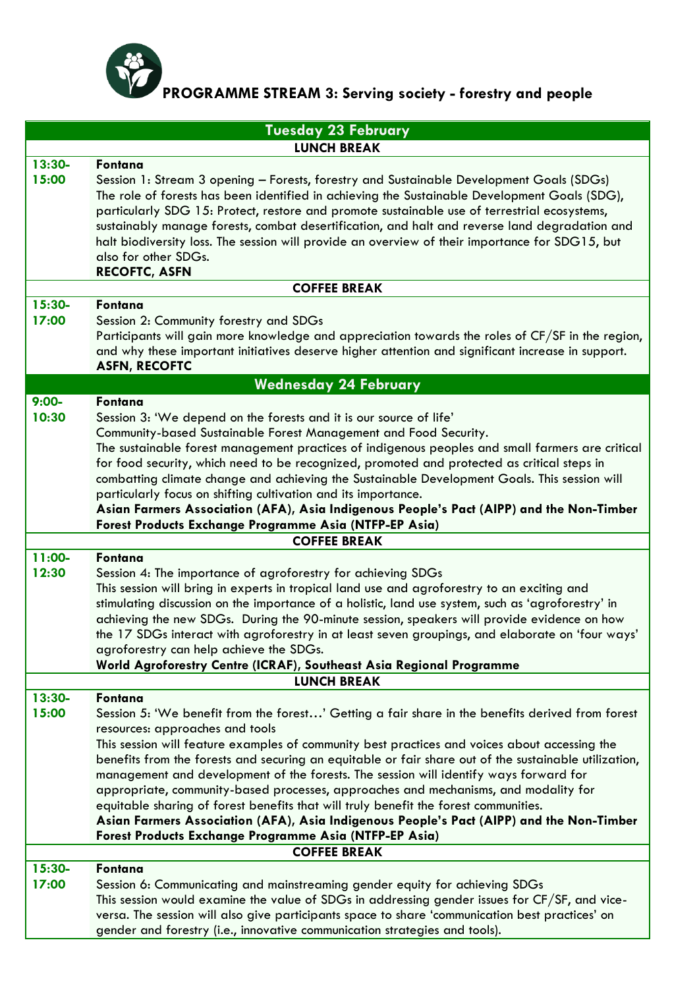

## **PROGRAMME STREAM 3: Serving society - forestry and people**

| <b>Tuesday 23 February</b>   |                                                                                                                                                                                                                                                                                                                                                                                                                                                                                                                                                                                                                                                                                                                                                                                               |  |
|------------------------------|-----------------------------------------------------------------------------------------------------------------------------------------------------------------------------------------------------------------------------------------------------------------------------------------------------------------------------------------------------------------------------------------------------------------------------------------------------------------------------------------------------------------------------------------------------------------------------------------------------------------------------------------------------------------------------------------------------------------------------------------------------------------------------------------------|--|
| <b>LUNCH BREAK</b>           |                                                                                                                                                                                                                                                                                                                                                                                                                                                                                                                                                                                                                                                                                                                                                                                               |  |
| $13:30-$<br>15:00            | Fontana<br>Session 1: Stream 3 opening - Forests, forestry and Sustainable Development Goals (SDGs)<br>The role of forests has been identified in achieving the Sustainable Development Goals (SDG),<br>particularly SDG 15: Protect, restore and promote sustainable use of terrestrial ecosystems,<br>sustainably manage forests, combat desertification, and halt and reverse land degradation and<br>halt biodiversity loss. The session will provide an overview of their importance for SDG15, but<br>also for other SDGs.                                                                                                                                                                                                                                                              |  |
|                              | <b>RECOFTC, ASFN</b>                                                                                                                                                                                                                                                                                                                                                                                                                                                                                                                                                                                                                                                                                                                                                                          |  |
| <b>COFFEE BREAK</b>          |                                                                                                                                                                                                                                                                                                                                                                                                                                                                                                                                                                                                                                                                                                                                                                                               |  |
| $15:30-$<br>17:00            | Fontana<br>Session 2: Community forestry and SDGs<br>Participants will gain more knowledge and appreciation towards the roles of CF/SF in the region,<br>and why these important initiatives deserve higher attention and significant increase in support.<br><b>ASFN, RECOFTC</b>                                                                                                                                                                                                                                                                                                                                                                                                                                                                                                            |  |
| <b>Wednesday 24 February</b> |                                                                                                                                                                                                                                                                                                                                                                                                                                                                                                                                                                                                                                                                                                                                                                                               |  |
| $9:00-$<br>10:30             | Fontana<br>Session 3: 'We depend on the forests and it is our source of life'<br>Community-based Sustainable Forest Management and Food Security.<br>The sustainable forest management practices of indigenous peoples and small farmers are critical<br>for food security, which need to be recognized, promoted and protected as critical steps in<br>combatting climate change and achieving the Sustainable Development Goals. This session will<br>particularly focus on shifting cultivation and its importance.<br>Asian Farmers Association (AFA), Asia Indigenous People's Pact (AIPP) and the Non-Timber<br>Forest Products Exchange Programme Asia (NTFP-EP Asia)                                                                                                                  |  |
|                              | <b>COFFEE BREAK</b>                                                                                                                                                                                                                                                                                                                                                                                                                                                                                                                                                                                                                                                                                                                                                                           |  |
| 11:00-<br>12:30              | Fontana<br>Session 4: The importance of agroforestry for achieving SDGs<br>This session will bring in experts in tropical land use and agroforestry to an exciting and<br>stimulating discussion on the importance of a holistic, land use system, such as 'agroforestry' in<br>achieving the new SDGs. During the 90-minute session, speakers will provide evidence on how<br>the 17 SDGs interact with agroforestry in at least seven groupings, and elaborate on 'four ways'<br>agroforestry can help achieve the SDGs.<br>World Agroforestry Centre (ICRAF), Southeast Asia Regional Programme                                                                                                                                                                                            |  |
|                              | <b>LUNCH BREAK</b>                                                                                                                                                                                                                                                                                                                                                                                                                                                                                                                                                                                                                                                                                                                                                                            |  |
| $13:30-$<br>15:00            | <b>Fontana</b><br>Session 5: 'We benefit from the forest' Getting a fair share in the benefits derived from forest<br>resources: approaches and tools<br>This session will feature examples of community best practices and voices about accessing the<br>benefits from the forests and securing an equitable or fair share out of the sustainable utilization,<br>management and development of the forests. The session will identify ways forward for<br>appropriate, community-based processes, approaches and mechanisms, and modality for<br>equitable sharing of forest benefits that will truly benefit the forest communities.<br>Asian Farmers Association (AFA), Asia Indigenous People's Pact (AIPP) and the Non-Timber<br>Forest Products Exchange Programme Asia (NTFP-EP Asia) |  |
| <b>COFFEE BREAK</b>          |                                                                                                                                                                                                                                                                                                                                                                                                                                                                                                                                                                                                                                                                                                                                                                                               |  |
| $15:30-$<br>17:00            | Fontana<br>Session 6: Communicating and mainstreaming gender equity for achieving SDGs<br>This session would examine the value of SDGs in addressing gender issues for CF/SF, and vice-<br>versa. The session will also give participants space to share 'communication best practices' on<br>gender and forestry (i.e., innovative communication strategies and tools).                                                                                                                                                                                                                                                                                                                                                                                                                      |  |